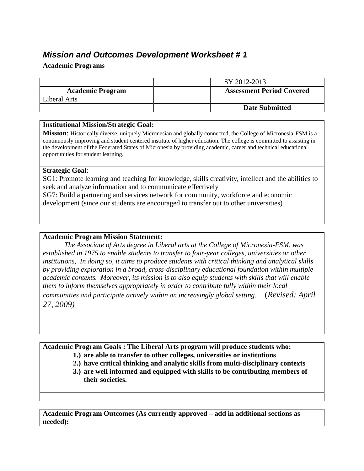# *Mission and Outcomes Development Worksheet # 1*

#### **Academic Programs**

|                         | SY 2012-2013                     |
|-------------------------|----------------------------------|
| <b>Academic Program</b> | <b>Assessment Period Covered</b> |
| Liberal Arts            |                                  |
|                         | <b>Date Submitted</b>            |

#### **Institutional Mission/Strategic Goal:**

**Mission**: Historically diverse, uniquely Micronesian and globally connected, the College of Micronesia-FSM is a continuously improving and student centered institute of higher education. The college is committed to assisting in the development of the Federated States of Micronesia by providing academic, career and technical educational opportunities for student learning.

#### **Strategic Goal**:

SG1: Promote learning and teaching for knowledge, skills creativity, intellect and the abilities to seek and analyze information and to communicate effectively

SG7: Build a partnering and services network for community, workforce and economic development (since our students are encouraged to transfer out to other universities)

### **Academic Program Mission Statement:**

*The Associate of Arts degree in Liberal arts at the College of Micronesia-FSM, was established in 1975 to enable students to transfer to four-year colleges, universities or other institutions, In doing so, it aims to produce students with critical thinking and analytical skills by providing exploration in a broad, cross-disciplinary educational foundation within multiple academic contexts. Moreover, its mission is to also equip students with skills that will enable them to inform themselves appropriately in order to contribute fully within their local communities and participate actively within an increasingly global setting.* (*Revised: April 27, 2009)*

**Academic Program Goals : The Liberal Arts program will produce students who:** 

- **1.) are able to transfer to other colleges, universities or institutions**
- **2.) have critical thinking and analytic skills from multi-disciplinary contexts**
- **3.) are well informed and equipped with skills to be contributing members of their societies.**

**Academic Program Outcomes (As currently approved – add in additional sections as needed):**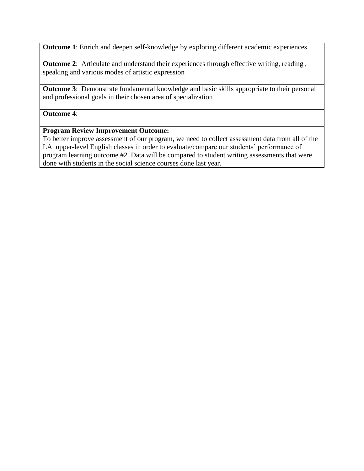**Outcome 1**: Enrich and deepen self-knowledge by exploring different academic experiences

**Outcome 2:** Articulate and understand their experiences through effective writing, reading, speaking and various modes of artistic expression

**Outcome 3**: Demonstrate fundamental knowledge and basic skills appropriate to their personal and professional goals in their chosen area of specialization

#### **Outcome 4**:

#### **Program Review Improvement Outcome:**

To better improve assessment of our program, we need to collect assessment data from all of the LA upper-level English classes in order to evaluate/compare our students' performance of program learning outcome #2. Data will be compared to student writing assessments that were done with students in the social science courses done last year.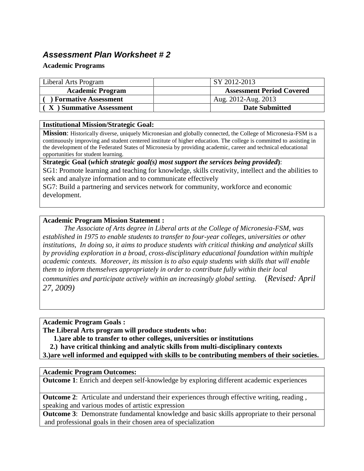# *Assessment Plan Worksheet # 2*

#### **Academic Programs**

| Liberal Arts Program        | SY 2012-2013                     |
|-----------------------------|----------------------------------|
| <b>Academic Program</b>     | <b>Assessment Period Covered</b> |
| <b>Formative Assessment</b> | Aug. 2012-Aug. 2013              |
| X ) Summative Assessment    | <b>Date Submitted</b>            |

#### **Institutional Mission/Strategic Goal:**

**Mission**: Historically diverse, uniquely Micronesian and globally connected, the College of Micronesia-FSM is a continuously improving and student centered institute of higher education. The college is committed to assisting in the development of the Federated States of Micronesia by providing academic, career and technical educational opportunities for student learning.

**Strategic Goal (***which strategic goal(s) most support the services being provided***)**:

SG1: Promote learning and teaching for knowledge, skills creativity, intellect and the abilities to seek and analyze information and to communicate effectively

SG7: Build a partnering and services network for community, workforce and economic development.

## **Academic Program Mission Statement :**

*The Associate of Arts degree in Liberal arts at the College of Micronesia-FSM, was established in 1975 to enable students to transfer to four-year colleges, universities or other institutions, In doing so, it aims to produce students with critical thinking and analytical skills by providing exploration in a broad, cross-disciplinary educational foundation within multiple academic contexts. Moreover, its mission is to also equip students with skills that will enable them to inform themselves appropriately in order to contribute fully within their local communities and participate actively within an increasingly global setting.* (*Revised: April 27, 2009)*

**Academic Program Goals :** 

**The Liberal Arts program will produce students who:** 

**1.)are able to transfer to other colleges, universities or institutions**

**2.) have critical thinking and analytic skills from multi-disciplinary contexts**

**3.)are well informed and equipped with skills to be contributing members of their societies.**

## **Academic Program Outcomes:**

**Outcome 1**: Enrich and deepen self-knowledge by exploring different academic experiences

**Outcome 2:** Articulate and understand their experiences through effective writing, reading, speaking and various modes of artistic expression

**Outcome 3**: Demonstrate fundamental knowledge and basic skills appropriate to their personal and professional goals in their chosen area of specialization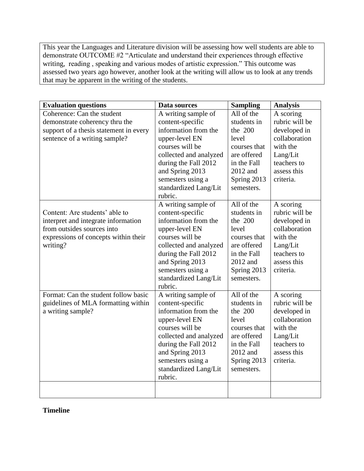This year the Languages and Literature division will be assessing how well students are able to demonstrate OUTCOME #2 "Articulate and understand their experiences through effective writing, reading , speaking and various modes of artistic expression." This outcome was assessed two years ago however, another look at the writing will allow us to look at any trends that may be apparent in the writing of the students.

| <b>Evaluation questions</b>            | Data sources                                          | <b>Sampling</b>           | <b>Analysis</b>         |
|----------------------------------------|-------------------------------------------------------|---------------------------|-------------------------|
| Coherence: Can the student             | A writing sample of                                   | All of the                | A scoring               |
| demonstrate coherency thru the         | content-specific                                      | students in               | rubric will be          |
| support of a thesis statement in every | information from the                                  | the 200                   | developed in            |
| sentence of a writing sample?          | upper-level EN                                        | level                     | collaboration           |
|                                        | courses will be                                       | courses that              | with the                |
|                                        | collected and analyzed                                | are offered               | Lang/Lit                |
|                                        | during the Fall 2012                                  | in the Fall               | teachers to             |
|                                        | and Spring 2013                                       | 2012 and                  | assess this             |
|                                        | semesters using a                                     | Spring 2013               | criteria.               |
|                                        | standardized Lang/Lit                                 | semesters.                |                         |
|                                        | rubric.                                               |                           |                         |
|                                        | A writing sample of                                   | All of the                | A scoring               |
| Content: Are students' able to         | content-specific                                      | students in               | rubric will be          |
| interpret and integrate information    | information from the                                  | the 200                   | developed in            |
| from outsides sources into             | upper-level EN                                        | level                     | collaboration           |
| expressions of concepts within their   | courses will be                                       | courses that              | with the                |
| writing?                               | collected and analyzed                                | are offered               | Lang/Lit                |
|                                        | during the Fall 2012                                  | in the Fall               | teachers to             |
|                                        | and Spring 2013                                       | 2012 and                  | assess this             |
|                                        | semesters using a                                     | Spring 2013               | criteria.               |
|                                        | standardized Lang/Lit                                 | semesters.                |                         |
|                                        | rubric.                                               |                           |                         |
| Format: Can the student follow basic   | A writing sample of                                   | All of the                | A scoring               |
| guidelines of MLA formatting within    | content-specific                                      | students in               | rubric will be          |
| a writing sample?                      | information from the                                  | the 200                   | developed in            |
|                                        | upper-level EN                                        | level                     | collaboration           |
|                                        | courses will be                                       | courses that              | with the                |
|                                        | collected and analyzed                                | are offered               | Lang/Lit<br>teachers to |
|                                        | during the Fall 2012                                  | in the Fall               |                         |
|                                        | and Spring 2013                                       | 2012 and                  | assess this             |
|                                        |                                                       |                           |                         |
|                                        |                                                       |                           |                         |
|                                        |                                                       |                           |                         |
|                                        |                                                       |                           |                         |
|                                        | semesters using a<br>standardized Lang/Lit<br>rubric. | Spring 2013<br>semesters. | criteria.               |

**Timeline**